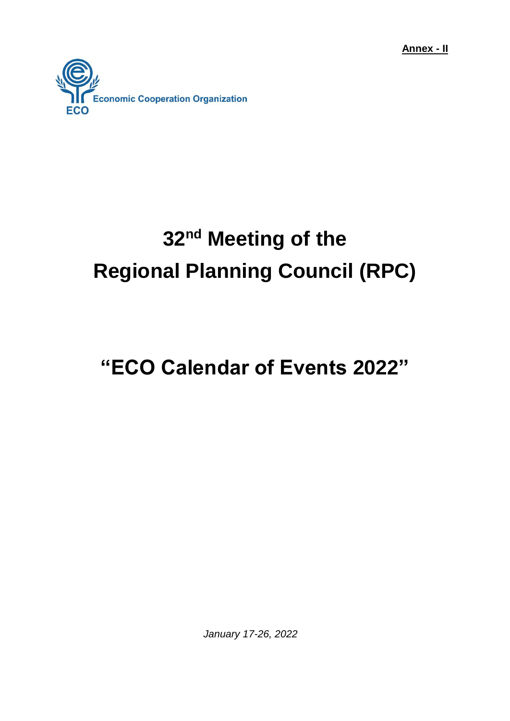**Annex - II**



# **32 nd Meeting of the Regional Planning Council (RPC)**

## **"ECO Calendar of Events 2022"**

*January 17-26, 2022*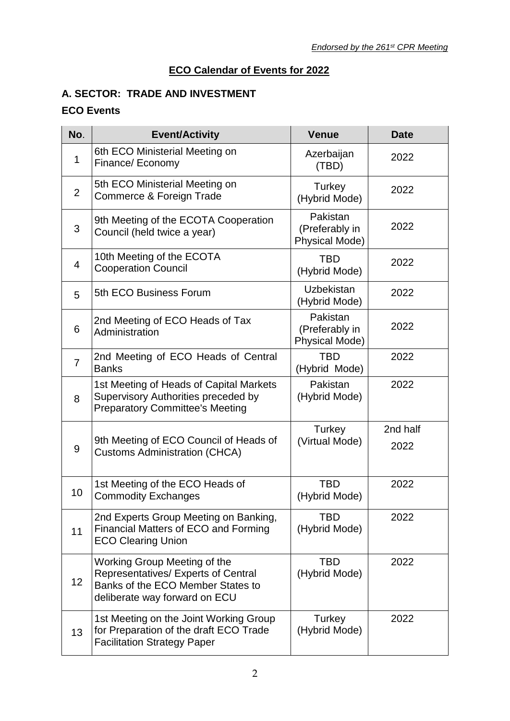#### **ECO Calendar of Events for 2022**

#### **A. SECTOR: TRADE AND INVESTMENT**

| No.            | <b>Event/Activity</b>                                                                                                                     | <b>Venue</b>                                        | <b>Date</b>      |
|----------------|-------------------------------------------------------------------------------------------------------------------------------------------|-----------------------------------------------------|------------------|
| 1              | 6th ECO Ministerial Meeting on<br>Finance/ Economy                                                                                        | Azerbaijan<br>(TBD)                                 | 2022             |
| $\overline{2}$ | 5th ECO Ministerial Meeting on<br>Commerce & Foreign Trade                                                                                | Turkey<br>(Hybrid Mode)                             | 2022             |
| 3              | 9th Meeting of the ECOTA Cooperation<br>Council (held twice a year)                                                                       | Pakistan<br>(Preferably in<br>Physical Mode)        | 2022             |
| 4              | 10th Meeting of the ECOTA<br><b>Cooperation Council</b>                                                                                   | <b>TBD</b><br>(Hybrid Mode)                         | 2022             |
| 5              | 5th ECO Business Forum                                                                                                                    | Uzbekistan<br>(Hybrid Mode)                         | 2022             |
| 6              | 2nd Meeting of ECO Heads of Tax<br>Administration                                                                                         | Pakistan<br>(Preferably in<br><b>Physical Mode)</b> | 2022             |
| $\overline{7}$ | 2nd Meeting of ECO Heads of Central<br><b>Banks</b>                                                                                       | <b>TBD</b><br>(Hybrid Mode)                         | 2022             |
| 8              | 1st Meeting of Heads of Capital Markets<br>Supervisory Authorities preceded by<br><b>Preparatory Committee's Meeting</b>                  | Pakistan<br>(Hybrid Mode)                           | 2022             |
| 9              | 9th Meeting of ECO Council of Heads of<br><b>Customs Administration (CHCA)</b>                                                            | Turkey<br>(Virtual Mode)                            | 2nd half<br>2022 |
| 10             | 1st Meeting of the ECO Heads of<br><b>Commodity Exchanges</b>                                                                             | <b>TBD</b><br>(Hybrid Mode)                         | 2022             |
| 11             | 2nd Experts Group Meeting on Banking,<br>Financial Matters of ECO and Forming<br><b>ECO Clearing Union</b>                                | TBD<br>(Hybrid Mode)                                | 2022             |
| 12             | Working Group Meeting of the<br>Representatives/ Experts of Central<br>Banks of the ECO Member States to<br>deliberate way forward on ECU | <b>TBD</b><br>(Hybrid Mode)                         | 2022             |
| 13             | 1st Meeting on the Joint Working Group<br>for Preparation of the draft ECO Trade<br><b>Facilitation Strategy Paper</b>                    | Turkey<br>(Hybrid Mode)                             | 2022             |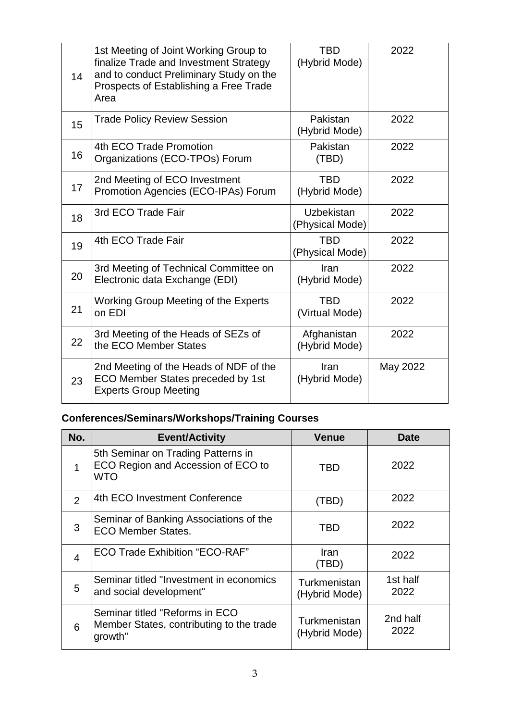| 14 | 1st Meeting of Joint Working Group to<br>finalize Trade and Investment Strategy<br>and to conduct Preliminary Study on the<br>Prospects of Establishing a Free Trade<br>Area | <b>TBD</b><br>(Hybrid Mode)          | 2022     |
|----|------------------------------------------------------------------------------------------------------------------------------------------------------------------------------|--------------------------------------|----------|
| 15 | <b>Trade Policy Review Session</b>                                                                                                                                           | Pakistan<br>(Hybrid Mode)            | 2022     |
| 16 | 4th ECO Trade Promotion<br>Organizations (ECO-TPOs) Forum                                                                                                                    | Pakistan<br>(TBD)                    | 2022     |
| 17 | 2nd Meeting of ECO Investment<br>Promotion Agencies (ECO-IPAs) Forum                                                                                                         | <b>TBD</b><br>(Hybrid Mode)          | 2022     |
| 18 | 3rd ECO Trade Fair                                                                                                                                                           | <b>Uzbekistan</b><br>(Physical Mode) | 2022     |
| 19 | 4th ECO Trade Fair                                                                                                                                                           | <b>TBD</b><br>(Physical Mode)        | 2022     |
| 20 | 3rd Meeting of Technical Committee on<br>Electronic data Exchange (EDI)                                                                                                      | Iran<br>(Hybrid Mode)                | 2022     |
| 21 | Working Group Meeting of the Experts<br>on EDI                                                                                                                               | <b>TBD</b><br>(Virtual Mode)         | 2022     |
| 22 | 3rd Meeting of the Heads of SEZs of<br>the ECO Member States                                                                                                                 | Afghanistan<br>(Hybrid Mode)         | 2022     |
| 23 | 2nd Meeting of the Heads of NDF of the<br>ECO Member States preceded by 1st<br><b>Experts Group Meeting</b>                                                                  | Iran<br>(Hybrid Mode)                | May 2022 |

| No.            | <b>Event/Activity</b>                                                                 | <b>Venue</b>                  | Date             |
|----------------|---------------------------------------------------------------------------------------|-------------------------------|------------------|
|                | 5th Seminar on Trading Patterns in<br>ECO Region and Accession of ECO to<br>WTO       | TBD                           | 2022             |
| $\mathcal{P}$  | 4th ECO Investment Conference                                                         | (TBD)                         | 2022             |
| 3              | Seminar of Banking Associations of the<br><b>ECO Member States.</b>                   | TBD                           | 2022             |
| $\overline{4}$ | <b>ECO Trade Exhibition "ECO-RAF"</b>                                                 | Iran<br>(TBD)                 | 2022             |
| 5              | Seminar titled "Investment in economics<br>and social development"                    | Turkmenistan<br>(Hybrid Mode) | 1st half<br>2022 |
| 6              | Seminar titled "Reforms in ECO<br>Member States, contributing to the trade<br>growth" | Turkmenistan<br>(Hybrid Mode) | 2nd half<br>2022 |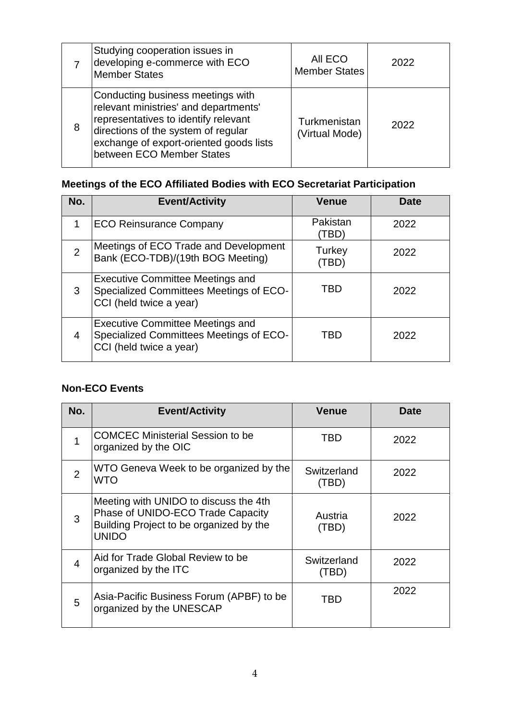|   | Studying cooperation issues in<br>developing e-commerce with ECO<br>Member States                                                                                                                                                 | AII ECO<br><b>Member States</b> | 2022 |
|---|-----------------------------------------------------------------------------------------------------------------------------------------------------------------------------------------------------------------------------------|---------------------------------|------|
| 8 | Conducting business meetings with<br>relevant ministries' and departments'<br>representatives to identify relevant<br>directions of the system of regular<br>exchange of export-oriented goods lists<br>between ECO Member States | Turkmenistan<br>(Virtual Mode)  | 2022 |

## **Meetings of the ECO Affiliated Bodies with ECO Secretariat Participation**

| No.            | <b>Event/Activity</b>                                                                                         | <b>Venue</b>      | Date |
|----------------|---------------------------------------------------------------------------------------------------------------|-------------------|------|
|                | <b>ECO Reinsurance Company</b>                                                                                | Pakistan<br>(TBD) | 2022 |
| $\overline{2}$ | Meetings of ECO Trade and Development<br>Bank (ECO-TDB)/(19th BOG Meeting)                                    | Turkey<br>(TBD)   | 2022 |
| 3              | <b>Executive Committee Meetings and</b><br>Specialized Committees Meetings of ECO-<br>CCI (held twice a year) | TBD               | 2022 |
| 4              | <b>Executive Committee Meetings and</b><br>Specialized Committees Meetings of ECO-<br>CCI (held twice a year) | TBD               | 2022 |

| No.            | <b>Event/Activity</b>                                                                                                                 | Venue                | Date |
|----------------|---------------------------------------------------------------------------------------------------------------------------------------|----------------------|------|
|                | <b>COMCEC Ministerial Session to be</b><br>organized by the OIC                                                                       | TBD                  | 2022 |
| 2              | WTO Geneva Week to be organized by the<br><b>WTO</b>                                                                                  | Switzerland<br>(TBD) | 2022 |
| 3              | Meeting with UNIDO to discuss the 4th<br>Phase of UNIDO-ECO Trade Capacity<br>Building Project to be organized by the<br><b>UNIDO</b> | Austria<br>(TBD)     | 2022 |
| $\overline{4}$ | Aid for Trade Global Review to be<br>organized by the ITC                                                                             | Switzerland<br>(TBD) | 2022 |
| 5              | Asia-Pacific Business Forum (APBF) to be<br>organized by the UNESCAP                                                                  | TBD                  | 2022 |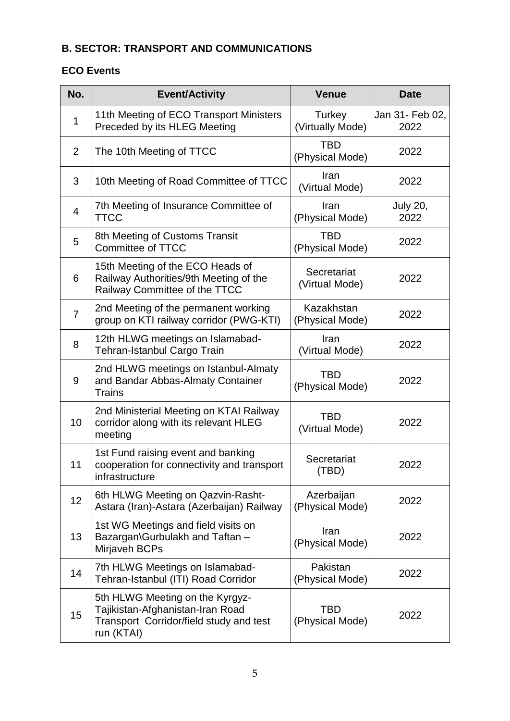#### **B. SECTOR: TRANSPORT AND COMMUNICATIONS**

| No.            | <b>Event/Activity</b>                                                                                                        | <b>Venue</b>                  | <b>Date</b>             |
|----------------|------------------------------------------------------------------------------------------------------------------------------|-------------------------------|-------------------------|
| $\mathbf 1$    | 11th Meeting of ECO Transport Ministers<br>Preceded by its HLEG Meeting                                                      | Turkey<br>(Virtually Mode)    | Jan 31- Feb 02,<br>2022 |
| 2              | The 10th Meeting of TTCC                                                                                                     | <b>TBD</b><br>(Physical Mode) | 2022                    |
| 3              | 10th Meeting of Road Committee of TTCC                                                                                       | Iran<br>(Virtual Mode)        | 2022                    |
| 4              | 7th Meeting of Insurance Committee of<br><b>TTCC</b>                                                                         | Iran<br>(Physical Mode)       | <b>July 20,</b><br>2022 |
| 5              | 8th Meeting of Customs Transit<br><b>Committee of TTCC</b>                                                                   | <b>TBD</b><br>(Physical Mode) | 2022                    |
| 6              | 15th Meeting of the ECO Heads of<br>Railway Authorities/9th Meeting of the<br>Railway Committee of the TTCC                  | Secretariat<br>(Virtual Mode) | 2022                    |
| $\overline{7}$ | 2nd Meeting of the permanent working<br>group on KTI railway corridor (PWG-KTI)                                              | Kazakhstan<br>(Physical Mode) | 2022                    |
| 8              | 12th HLWG meetings on Islamabad-<br>Tehran-Istanbul Cargo Train                                                              | Iran<br>(Virtual Mode)        | 2022                    |
| 9              | 2nd HLWG meetings on Istanbul-Almaty<br>and Bandar Abbas-Almaty Container<br>Trains                                          | <b>TBD</b><br>(Physical Mode) | 2022                    |
| 10             | 2nd Ministerial Meeting on KTAI Railway<br>corridor along with its relevant HLEG<br>meeting                                  | <b>TBD</b><br>(Virtual Mode)  | 2022                    |
| 11             | 1st Fund raising event and banking<br>cooperation for connectivity and transport<br>infrastructure                           | Secretariat<br>(TBD)          | 2022                    |
| 12             | 6th HLWG Meeting on Qazvin-Rasht-<br>Astara (Iran)-Astara (Azerbaijan) Railway                                               | Azerbaijan<br>(Physical Mode) | 2022                    |
| 13             | 1st WG Meetings and field visits on<br>Bazargan\Gurbulakh and Taftan -<br>Mirjaveh BCPs                                      | Iran<br>(Physical Mode)       | 2022                    |
| 14             | 7th HLWG Meetings on Islamabad-<br>Tehran-Istanbul (ITI) Road Corridor                                                       | Pakistan<br>(Physical Mode)   | 2022                    |
| 15             | 5th HLWG Meeting on the Kyrgyz-<br>Tajikistan-Afghanistan-Iran Road<br>Transport Corridor/field study and test<br>run (KTAI) | TBD<br>(Physical Mode)        | 2022                    |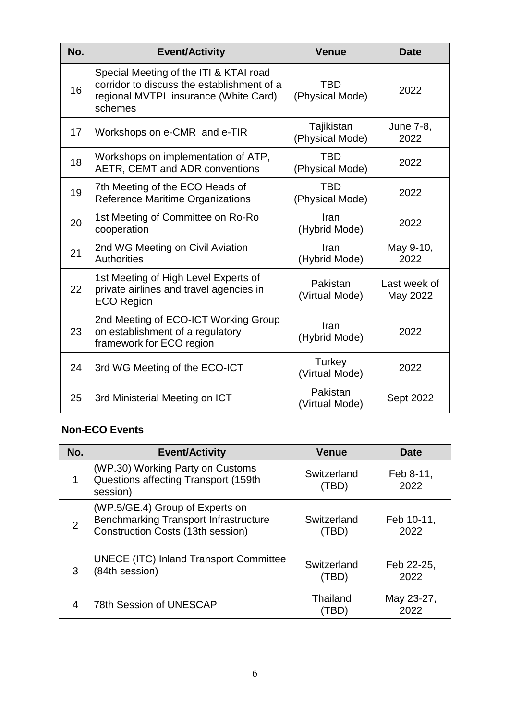| No. | <b>Event/Activity</b>                                                                                                                    | <b>Venue</b>                  | <b>Date</b>              |
|-----|------------------------------------------------------------------------------------------------------------------------------------------|-------------------------------|--------------------------|
| 16  | Special Meeting of the ITI & KTAI road<br>corridor to discuss the establishment of a<br>regional MVTPL insurance (White Card)<br>schemes | <b>TBD</b><br>(Physical Mode) | 2022                     |
| 17  | Workshops on e-CMR and e-TIR                                                                                                             | Tajikistan<br>(Physical Mode) | June 7-8,<br>2022        |
| 18  | Workshops on implementation of ATP,<br>AETR, CEMT and ADR conventions                                                                    | <b>TBD</b><br>(Physical Mode) | 2022                     |
| 19  | 7th Meeting of the ECO Heads of<br>Reference Maritime Organizations                                                                      | <b>TBD</b><br>(Physical Mode) | 2022                     |
| 20  | 1st Meeting of Committee on Ro-Ro<br>cooperation                                                                                         | Iran<br>(Hybrid Mode)         | 2022                     |
| 21  | 2nd WG Meeting on Civil Aviation<br><b>Authorities</b>                                                                                   | Iran<br>(Hybrid Mode)         | May 9-10,<br>2022        |
| 22  | 1st Meeting of High Level Experts of<br>private airlines and travel agencies in<br><b>ECO Region</b>                                     | Pakistan<br>(Virtual Mode)    | Last week of<br>May 2022 |
| 23  | 2nd Meeting of ECO-ICT Working Group<br>on establishment of a regulatory<br>framework for ECO region                                     | Iran<br>(Hybrid Mode)         | 2022                     |
| 24  | 3rd WG Meeting of the ECO-ICT                                                                                                            | Turkey<br>(Virtual Mode)      | 2022                     |
| 25  | 3rd Ministerial Meeting on ICT                                                                                                           | Pakistan<br>(Virtual Mode)    | Sept 2022                |

| No. | <b>Event/Activity</b>                                                                                                | <b>Venue</b>         | Date               |
|-----|----------------------------------------------------------------------------------------------------------------------|----------------------|--------------------|
| 1   | (WP.30) Working Party on Customs<br>Questions affecting Transport (159th<br>session)                                 | Switzerland<br>(TBD) | Feb 8-11,<br>2022  |
| 2   | (WP.5/GE.4) Group of Experts on<br><b>Benchmarking Transport Infrastructure</b><br>Construction Costs (13th session) | Switzerland<br>(TBD) | Feb 10-11,<br>2022 |
| 3   | <b>UNECE (ITC) Inland Transport Committee</b><br>(84th session)                                                      | Switzerland<br>(TBD) | Feb 22-25,<br>2022 |
| 4   | 78th Session of UNESCAP                                                                                              | Thailand<br>(TBD)    | May 23-27,<br>2022 |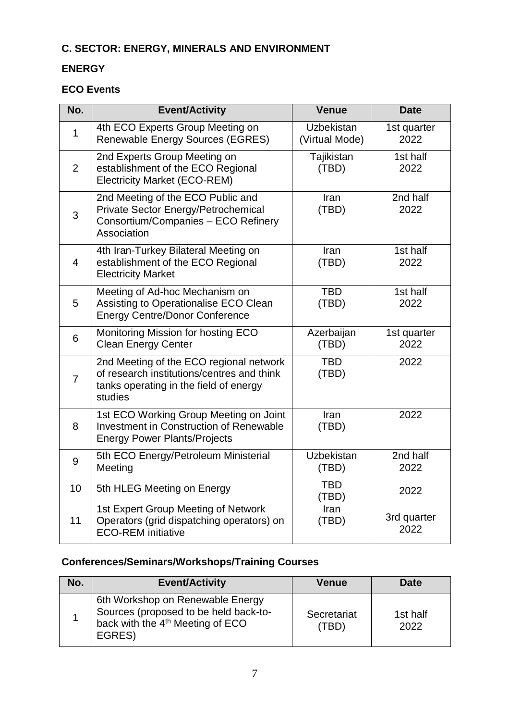## **C. SECTOR: ENERGY, MINERALS AND ENVIRONMENT**

#### **ENERGY**

#### **ECO Events**

| No.            | <b>Event/Activity</b>                                                                                                                      | <b>Venue</b>                        | <b>Date</b>         |
|----------------|--------------------------------------------------------------------------------------------------------------------------------------------|-------------------------------------|---------------------|
| $\mathbf{1}$   | 4th ECO Experts Group Meeting on<br>Renewable Energy Sources (EGRES)                                                                       | <b>Uzbekistan</b><br>(Virtual Mode) | 1st quarter<br>2022 |
| $\overline{2}$ | 2nd Experts Group Meeting on<br>establishment of the ECO Regional<br><b>Electricity Market (ECO-REM)</b>                                   | Tajikistan<br>(TBD)                 | 1st half<br>2022    |
| 3              | 2nd Meeting of the ECO Public and<br>Private Sector Energy/Petrochemical<br>Consortium/Companies - ECO Refinery<br>Association             | Iran<br>(TBD)                       | 2nd half<br>2022    |
| $\overline{4}$ | 4th Iran-Turkey Bilateral Meeting on<br>establishment of the ECO Regional<br><b>Electricity Market</b>                                     | Iran<br>(TBD)                       | 1st half<br>2022    |
| 5              | Meeting of Ad-hoc Mechanism on<br>Assisting to Operationalise ECO Clean<br><b>Energy Centre/Donor Conference</b>                           | <b>TBD</b><br>(TBD)                 | 1st half<br>2022    |
| 6              | Monitoring Mission for hosting ECO<br><b>Clean Energy Center</b>                                                                           | Azerbaijan<br>(TBD)                 | 1st quarter<br>2022 |
| $\overline{7}$ | 2nd Meeting of the ECO regional network<br>of research institutions/centres and think<br>tanks operating in the field of energy<br>studies | <b>TBD</b><br>(TBD)                 | 2022                |
| 8              | 1st ECO Working Group Meeting on Joint<br><b>Investment in Construction of Renewable</b><br><b>Energy Power Plants/Projects</b>            | Iran<br>(TBD)                       | 2022                |
| 9              | 5th ECO Energy/Petroleum Ministerial<br>Meeting                                                                                            | <b>Uzbekistan</b><br>(TBD)          | 2nd half<br>2022    |
| 10             | 5th HLEG Meeting on Energy                                                                                                                 | <b>TBD</b><br>(TBD)                 | 2022                |
| 11             | 1st Expert Group Meeting of Network<br>Operators (grid dispatching operators) on<br><b>ECO-REM</b> initiative                              | Iran<br>(TBD)                       | 3rd quarter<br>2022 |

| No. | <b>Event/Activity</b>                                                                                                               | Venue                | Date             |
|-----|-------------------------------------------------------------------------------------------------------------------------------------|----------------------|------------------|
|     | 6th Workshop on Renewable Energy<br>Sources (proposed to be held back-to-<br>back with the 4 <sup>th</sup> Meeting of ECO<br>EGRES) | Secretariat<br>(TBD) | 1st half<br>2022 |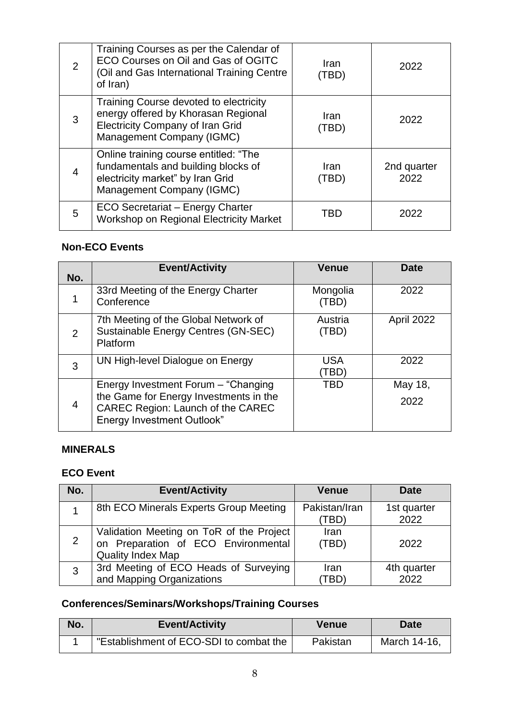| 2              | Training Courses as per the Calendar of<br>ECO Courses on Oil and Gas of OGITC<br>(Oil and Gas International Training Centre<br>of Iran)              | Iran<br>(TBD  | 2022                |
|----------------|-------------------------------------------------------------------------------------------------------------------------------------------------------|---------------|---------------------|
| 3              | Training Course devoted to electricity<br>energy offered by Khorasan Regional<br><b>Electricity Company of Iran Grid</b><br>Management Company (IGMC) | Iran<br>(TBD) | 2022                |
| $\overline{4}$ | Online training course entitled: "The<br>fundamentals and building blocks of<br>electricity market" by Iran Grid<br>Management Company (IGMC)         | Iran<br>(TBD) | 2nd quarter<br>2022 |
| 5              | <b>ECO Secretariat - Energy Charter</b><br>Workshop on Regional Electricity Market                                                                    | TBD           | 2022                |

| No. | <b>Event/Activity</b>                                                                                                                                    | <b>Venue</b>       | <b>Date</b>     |
|-----|----------------------------------------------------------------------------------------------------------------------------------------------------------|--------------------|-----------------|
|     | 33rd Meeting of the Energy Charter<br>Conference                                                                                                         | Mongolia<br>(TBD)  | 2022            |
| 2   | 7th Meeting of the Global Network of<br>Sustainable Energy Centres (GN-SEC)<br>Platform                                                                  | Austria<br>(TBD)   | April 2022      |
| 3   | UN High-level Dialogue on Energy                                                                                                                         | <b>USA</b><br>[TBD | 2022            |
| 4   | Energy Investment Forum - "Changing"<br>the Game for Energy Investments in the<br>CAREC Region: Launch of the CAREC<br><b>Energy Investment Outlook"</b> | TBD                | May 18,<br>2022 |

#### **MINERALS**

#### **ECO Event**

| No.          | <b>Event/Activity</b>                                                                                       | <b>Venue</b>          | Date                |
|--------------|-------------------------------------------------------------------------------------------------------------|-----------------------|---------------------|
|              | 8th ECO Minerals Experts Group Meeting                                                                      | Pakistan/Iran<br>TBD` | 1st quarter<br>2022 |
| 2            | Validation Meeting on ToR of the Project<br>on Preparation of ECO Environmental<br><b>Quality Index Map</b> | Iran<br>(TBD)         | 2022                |
| $\mathbf{3}$ | 3rd Meeting of ECO Heads of Surveying<br>and Mapping Organizations                                          | Iran<br>TBD           | 4th quarter<br>2022 |

| No. | <b>Event/Activity</b>                   | Venue    | Date         |
|-----|-----------------------------------------|----------|--------------|
|     | "Establishment of ECO-SDI to combat the | Pakistan | March 14-16, |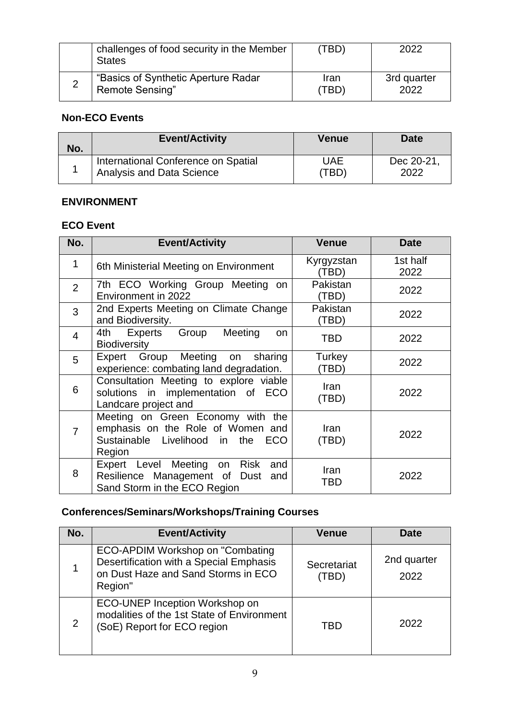| challenges of food security in the Member<br><b>States</b> | (TBD) | 2022        |
|------------------------------------------------------------|-------|-------------|
| "Basics of Synthetic Aperture Radar                        | Iran  | 3rd quarter |
| Remote Sensing"                                            | (TBD) | 2022        |

| No. | <b>Event/Activity</b>               | <b>Venue</b> | Date      |
|-----|-------------------------------------|--------------|-----------|
|     | International Conference on Spatial | UAE          | Dec 20-21 |
|     | <b>Analysis and Data Science</b>    | (TBD)        | 2022      |

#### **ENVIRONMENT**

#### **ECO Event**

| No.            | <b>Event/Activity</b>                                                                                                 | <b>Venue</b>        | <b>Date</b>      |
|----------------|-----------------------------------------------------------------------------------------------------------------------|---------------------|------------------|
| 1              | 6th Ministerial Meeting on Environment                                                                                | Kyrgyzstan<br>(TBD) | 1st half<br>2022 |
| $\overline{2}$ | 7th ECO Working Group Meeting on<br>Environment in 2022                                                               | Pakistan<br>(TBD)   | 2022             |
| 3              | 2nd Experts Meeting on Climate Change<br>and Biodiversity.                                                            | Pakistan<br>(TBD)   | 2022             |
| $\overline{4}$ | Experts<br>Group<br>Meeting<br>4th<br>on.<br><b>Biodiversity</b>                                                      | TBD                 | 2022             |
| 5              | Expert Group Meeting<br>on sharing<br>experience: combating land degradation.                                         | Turkey<br>(TBD)     | 2022             |
| 6              | Consultation Meeting to explore viable<br>solutions in implementation of ECO<br>Landcare project and                  | Iran<br>(TBD)       | 2022             |
| 7              | Meeting on Green Economy with the<br>emphasis on the Role of Women and<br>Sustainable Livelihood in the ECO<br>Region | Iran<br>(TBD)       | 2022             |
| 8              | Expert Level Meeting on<br>Risk<br>and<br>Resilience Management of Dust<br>and<br>Sand Storm in the ECO Region        | Iran<br><b>TBD</b>  | 2022             |

| No. | <b>Event/Activity</b>                                                                                                         | <b>Venue</b>         | <b>Date</b>         |
|-----|-------------------------------------------------------------------------------------------------------------------------------|----------------------|---------------------|
|     | ECO-APDIM Workshop on "Combating<br>Desertification with a Special Emphasis<br>on Dust Haze and Sand Storms in ECO<br>Region" | Secretariat<br>(TBD) | 2nd quarter<br>2022 |
| 2   | ECO-UNEP Inception Workshop on<br>modalities of the 1st State of Environment<br>(SoE) Report for ECO region                   | TBD                  | 2022                |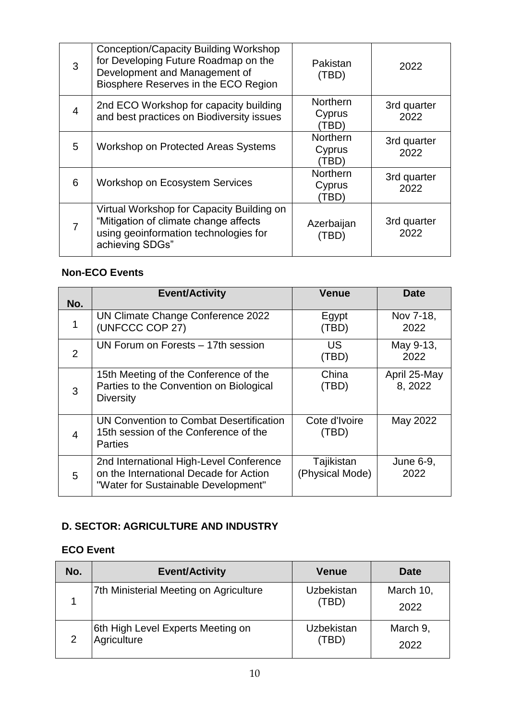| 3              | Conception/Capacity Building Workshop<br>for Developing Future Roadmap on the<br>Development and Management of<br>Biosphere Reserves in the ECO Region | Pakistan<br>(TBD)                  | 2022                |
|----------------|--------------------------------------------------------------------------------------------------------------------------------------------------------|------------------------------------|---------------------|
| 4              | 2nd ECO Workshop for capacity building<br>and best practices on Biodiversity issues                                                                    | <b>Northern</b><br>Cyprus<br>(TBD) | 3rd quarter<br>2022 |
| 5              | <b>Workshop on Protected Areas Systems</b>                                                                                                             | Northern<br>Cyprus<br>(TBD)        | 3rd quarter<br>2022 |
| 6              | <b>Workshop on Ecosystem Services</b>                                                                                                                  | Northern<br>Cyprus<br>(TBD)        | 3rd quarter<br>2022 |
| $\overline{7}$ | Virtual Workshop for Capacity Building on<br>"Mitigation of climate change affects<br>using geoinformation technologies for<br>achieving SDGs"         | Azerbaijan<br>(TBD)                | 3rd quarter<br>2022 |

| No.            | <b>Event/Activity</b>                                                                                                    | <b>Venue</b>                  | <b>Date</b>             |
|----------------|--------------------------------------------------------------------------------------------------------------------------|-------------------------------|-------------------------|
|                | UN Climate Change Conference 2022<br>(UNFCCC COP 27)                                                                     | Egypt<br>(TBD)                | Nov 7-18,<br>2022       |
| 2              | UN Forum on Forests - 17th session                                                                                       | US<br>(TBD)                   | May 9-13,<br>2022       |
| 3              | 15th Meeting of the Conference of the<br>Parties to the Convention on Biological<br><b>Diversity</b>                     | China<br>(TBD)                | April 25-May<br>8, 2022 |
| $\overline{4}$ | UN Convention to Combat Desertification<br>15th session of the Conference of the<br><b>Parties</b>                       | Cote d'Ivoire<br>(TBD)        | May 2022                |
| 5              | 2nd International High-Level Conference<br>on the International Decade for Action<br>"Water for Sustainable Development" | Tajikistan<br>(Physical Mode) | June 6-9,<br>2022       |

#### **D. SECTOR: AGRICULTURE AND INDUSTRY**

| No. | <b>Event/Activity</b>                            | <b>Venue</b>               | <b>Date</b>       |
|-----|--------------------------------------------------|----------------------------|-------------------|
|     | 7th Ministerial Meeting on Agriculture           | <b>Uzbekistan</b><br>(TBD) | March 10,<br>2022 |
|     | 6th High Level Experts Meeting on<br>Agriculture | <b>Uzbekistan</b><br>(TBD) | March 9,<br>2022  |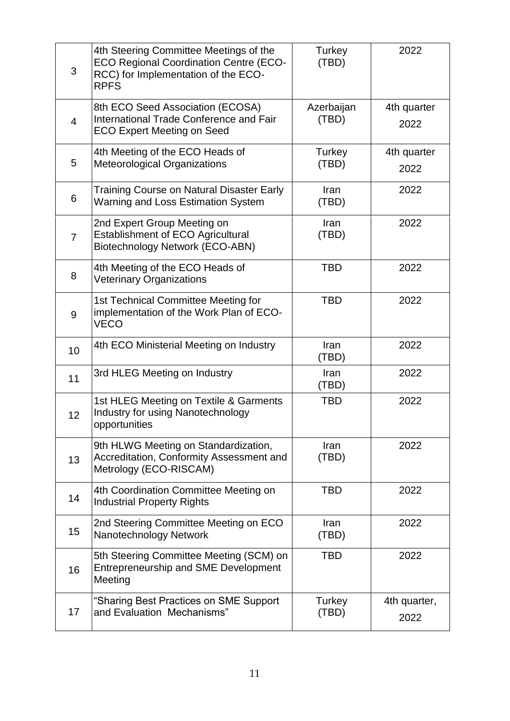| 3              | 4th Steering Committee Meetings of the<br><b>ECO Regional Coordination Centre (ECO-</b><br>RCC) for Implementation of the ECO-<br><b>RPFS</b> | Turkey<br>(TBD)     | 2022                 |
|----------------|-----------------------------------------------------------------------------------------------------------------------------------------------|---------------------|----------------------|
| $\overline{4}$ | 8th ECO Seed Association (ECOSA)<br>International Trade Conference and Fair<br><b>ECO Expert Meeting on Seed</b>                              | Azerbaijan<br>(TBD) | 4th quarter<br>2022  |
| 5              | 4th Meeting of the ECO Heads of<br><b>Meteorological Organizations</b>                                                                        | Turkey<br>(TBD)     | 4th quarter<br>2022  |
| 6              | <b>Training Course on Natural Disaster Early</b><br><b>Warning and Loss Estimation System</b>                                                 | Iran<br>(TBD)       | 2022                 |
| $\overline{7}$ | 2nd Expert Group Meeting on<br><b>Establishment of ECO Agricultural</b><br>Biotechnology Network (ECO-ABN)                                    | Iran<br>(TBD)       | 2022                 |
| 8              | 4th Meeting of the ECO Heads of<br><b>Veterinary Organizations</b>                                                                            | <b>TBD</b>          | 2022                 |
| 9              | 1st Technical Committee Meeting for<br>implementation of the Work Plan of ECO-<br><b>VECO</b>                                                 | <b>TBD</b>          | 2022                 |
| 10             | 4th ECO Ministerial Meeting on Industry                                                                                                       | Iran<br>(TBD)       | 2022                 |
| 11             | 3rd HLEG Meeting on Industry                                                                                                                  | Iran<br>(TBD)       | 2022                 |
| 12             | 1st HLEG Meeting on Textile & Garments<br>Industry for using Nanotechnology<br>opportunities                                                  | <b>TBD</b>          | 2022                 |
| 13             | 9th HLWG Meeting on Standardization,<br>Accreditation, Conformity Assessment and<br>Metrology (ECO-RISCAM)                                    | Iran<br>(TBD)       | 2022                 |
| 14             | 4th Coordination Committee Meeting on<br><b>Industrial Property Rights</b>                                                                    | <b>TBD</b>          | 2022                 |
| 15             | 2nd Steering Committee Meeting on ECO<br>Nanotechnology Network                                                                               | Iran<br>(TBD)       | 2022                 |
| 16             | 5th Steering Committee Meeting (SCM) on<br>Entrepreneurship and SME Development<br>Meeting                                                    | <b>TBD</b>          | 2022                 |
| 17             | "Sharing Best Practices on SME Support<br>and Evaluation Mechanisms"                                                                          | Turkey<br>(TBD)     | 4th quarter,<br>2022 |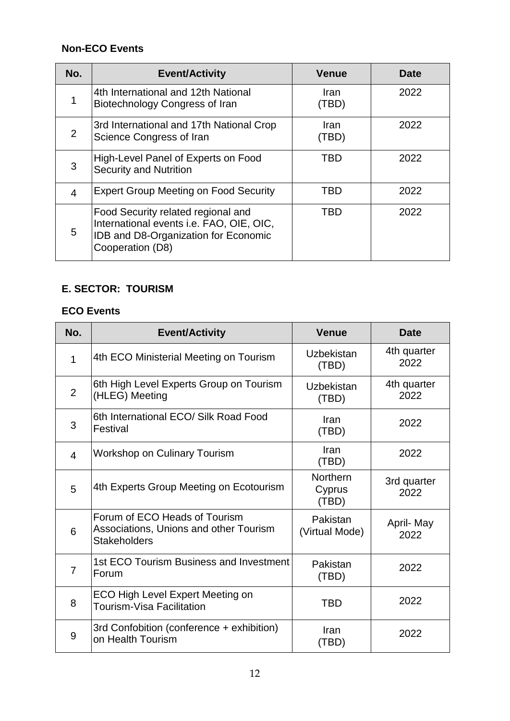| No.            | <b>Event/Activity</b>                                                                                                                      | <b>Venue</b>         | <b>Date</b> |
|----------------|--------------------------------------------------------------------------------------------------------------------------------------------|----------------------|-------------|
|                | 4th International and 12th National<br>Biotechnology Congress of Iran                                                                      | <b>Iran</b><br>(TBD) | 2022        |
| $\overline{2}$ | 3rd International and 17th National Crop<br>Science Congress of Iran                                                                       | <b>Iran</b><br>(TBD) | 2022        |
| 3              | High-Level Panel of Experts on Food<br><b>Security and Nutrition</b>                                                                       | <b>TBD</b>           | 2022        |
| $\overline{4}$ | <b>Expert Group Meeting on Food Security</b>                                                                                               | TBD                  | 2022        |
| 5              | Food Security related regional and<br>International events i.e. FAO, OIE, OIC,<br>IDB and D8-Organization for Economic<br>Cooperation (D8) | TBD                  | 2022        |

#### **E. SECTOR: TOURISM**

| No.            | <b>Event/Activity</b>                                                                          | <b>Venue</b>                       | Date                |
|----------------|------------------------------------------------------------------------------------------------|------------------------------------|---------------------|
| 1              | 4th ECO Ministerial Meeting on Tourism                                                         | <b>Uzbekistan</b><br>(TBD)         | 4th quarter<br>2022 |
| $\overline{2}$ | 6th High Level Experts Group on Tourism<br>(HLEG) Meeting                                      | Uzbekistan<br>(TBD)                | 4th quarter<br>2022 |
| 3              | 6th International ECO/ Silk Road Food<br>Festival                                              | Iran<br>(TBD)                      | 2022                |
| $\overline{4}$ | <b>Workshop on Culinary Tourism</b>                                                            | Iran<br>(TBD)                      | 2022                |
| 5              | 4th Experts Group Meeting on Ecotourism                                                        | <b>Northern</b><br>Cyprus<br>(TBD) | 3rd quarter<br>2022 |
| 6              | Forum of ECO Heads of Tourism<br>Associations, Unions and other Tourism<br><b>Stakeholders</b> | Pakistan<br>(Virtual Mode)         | April-May<br>2022   |
| 7              | 1st ECO Tourism Business and Investment<br>Forum                                               | Pakistan<br>(TBD)                  | 2022                |
| 8              | <b>ECO High Level Expert Meeting on</b><br>Tourism-Visa Facilitation                           | <b>TBD</b>                         | 2022                |
| 9              | 3rd Confobition (conference + exhibition)<br>on Health Tourism                                 | Iran<br>(TBD)                      | 2022                |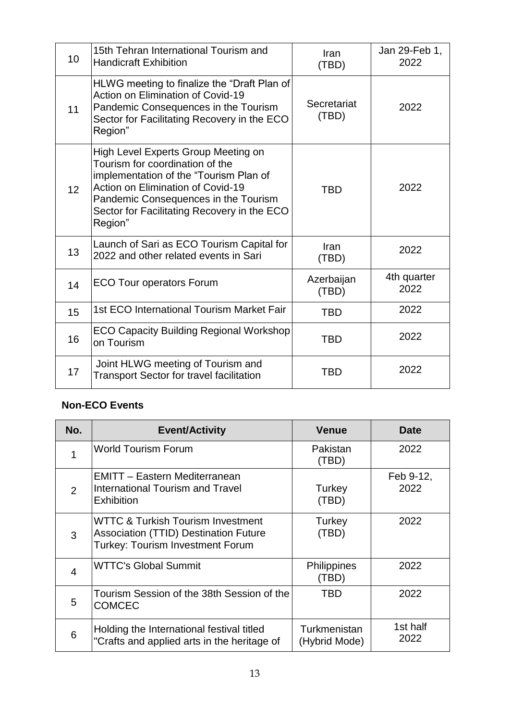| 10 <sup>1</sup> | 15th Tehran International Tourism and<br><b>Handicraft Exhibition</b>                                                                                                                                                                                   | Iran<br>(TBD)        | Jan 29-Feb 1,<br>2022 |
|-----------------|---------------------------------------------------------------------------------------------------------------------------------------------------------------------------------------------------------------------------------------------------------|----------------------|-----------------------|
| 11              | HLWG meeting to finalize the "Draft Plan of<br>Action on Elimination of Covid-19<br>Pandemic Consequences in the Tourism<br>Sector for Facilitating Recovery in the ECO<br>Region"                                                                      | Secretariat<br>(TBD) | 2022                  |
| 12 <sup>2</sup> | High Level Experts Group Meeting on<br>Tourism for coordination of the<br>implementation of the "Tourism Plan of<br>Action on Elimination of Covid-19<br>Pandemic Consequences in the Tourism<br>Sector for Facilitating Recovery in the ECO<br>Region" | <b>TBD</b>           | 2022                  |
| 13              | Launch of Sari as ECO Tourism Capital for<br>2022 and other related events in Sari                                                                                                                                                                      | Iran<br>(TBD)        | 2022                  |
| 14              | <b>ECO Tour operators Forum</b>                                                                                                                                                                                                                         | Azerbaijan<br>(TBD)  | 4th quarter<br>2022   |
| 15              | 1st ECO International Tourism Market Fair                                                                                                                                                                                                               | <b>TBD</b>           | 2022                  |
| 16              | <b>ECO Capacity Building Regional Workshop</b><br>on Tourism                                                                                                                                                                                            | <b>TBD</b>           | 2022                  |
| 17              | Joint HLWG meeting of Tourism and<br><b>Transport Sector for travel facilitation</b>                                                                                                                                                                    | <b>TBD</b>           | 2022                  |

| No.            | <b>Event/Activity</b>                                                                                                                   | <b>Venue</b>                  | Date              |
|----------------|-----------------------------------------------------------------------------------------------------------------------------------------|-------------------------------|-------------------|
|                | <b>World Tourism Forum</b>                                                                                                              | Pakistan<br>(TBD)             | 2022              |
| 2              | <b>EMITT - Eastern Mediterranean</b><br>International Tourism and Travel<br><b>Exhibition</b>                                           | Turkey<br>(TBD)               | Feb 9-12,<br>2022 |
| 3              | <b>WTTC &amp; Turkish Tourism Investment</b><br><b>Association (TTID) Destination Future</b><br><b>Turkey: Tourism Investment Forum</b> | Turkey<br>(TBD)               | 2022              |
| $\overline{4}$ | <b>WTTC's Global Summit</b>                                                                                                             | <b>Philippines</b><br>(TBD)   | 2022              |
| 5              | Tourism Session of the 38th Session of the<br><b>COMCEC</b>                                                                             | <b>TBD</b>                    | 2022              |
| 6              | Holding the International festival titled<br>"Crafts and applied arts in the heritage of                                                | Turkmenistan<br>(Hybrid Mode) | 1st half<br>2022  |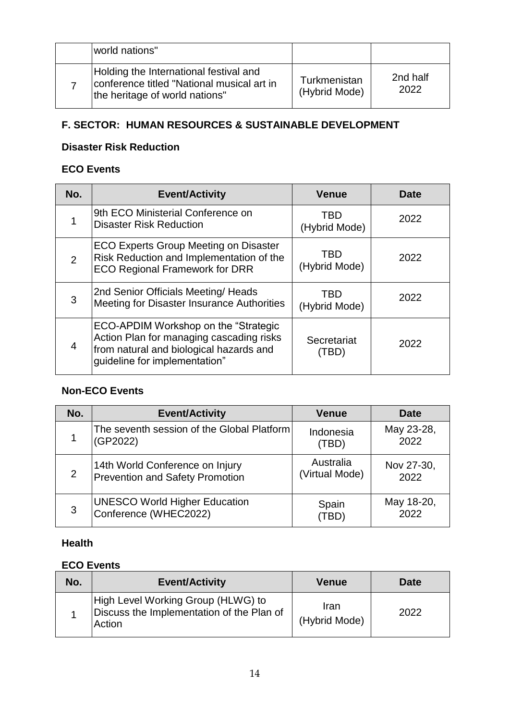| world nations"                                                                                                         |                               |                  |
|------------------------------------------------------------------------------------------------------------------------|-------------------------------|------------------|
| Holding the International festival and<br>conference titled "National musical art in<br>the heritage of world nations" | Turkmenistan<br>(Hybrid Mode) | 2nd half<br>2022 |

#### **F. SECTOR: HUMAN RESOURCES & SUSTAINABLE DEVELOPMENT**

#### **Disaster Risk Reduction**

#### **ECO Events**

| No. | <b>Event/Activity</b>                                                                                                                                        | <b>Venue</b>                | Date |
|-----|--------------------------------------------------------------------------------------------------------------------------------------------------------------|-----------------------------|------|
|     | 9th ECO Ministerial Conference on<br><b>Disaster Risk Reduction</b>                                                                                          | <b>TBD</b><br>(Hybrid Mode) | 2022 |
| 2   | <b>ECO Experts Group Meeting on Disaster</b><br>Risk Reduction and Implementation of the<br><b>ECO Regional Framework for DRR</b>                            | <b>TBD</b><br>(Hybrid Mode) | 2022 |
| 3   | 2nd Senior Officials Meeting/ Heads<br>Meeting for Disaster Insurance Authorities                                                                            | TBD<br>(Hybrid Mode)        | 2022 |
| 4   | ECO-APDIM Workshop on the "Strategic<br>Action Plan for managing cascading risks<br>from natural and biological hazards and<br>quideline for implementation" | Secretariat<br>(TBD)        | 2022 |

#### **Non-ECO Events**

| No. | <b>Event/Activity</b>                      | <b>Venue</b>   | Date       |
|-----|--------------------------------------------|----------------|------------|
|     | The seventh session of the Global Platform | Indonesia      | May 23-28, |
|     | (GP2022)                                   | (TBD)          | 2022       |
| 2   | 14th World Conference on Injury            | Australia      | Nov 27-30, |
|     | <b>Prevention and Safety Promotion</b>     | (Virtual Mode) | 2022       |
| 3   | <b>UNESCO World Higher Education</b>       | Spain          | May 18-20, |
|     | Conference (WHEC2022)                      | (TBD)          | 2022       |

#### **Health**

| No. | <b>Event/Activity</b>                                                                     | <b>Venue</b>          | Date |
|-----|-------------------------------------------------------------------------------------------|-----------------------|------|
|     | High Level Working Group (HLWG) to<br>Discuss the Implementation of the Plan of<br>Action | Iran<br>(Hybrid Mode) | 2022 |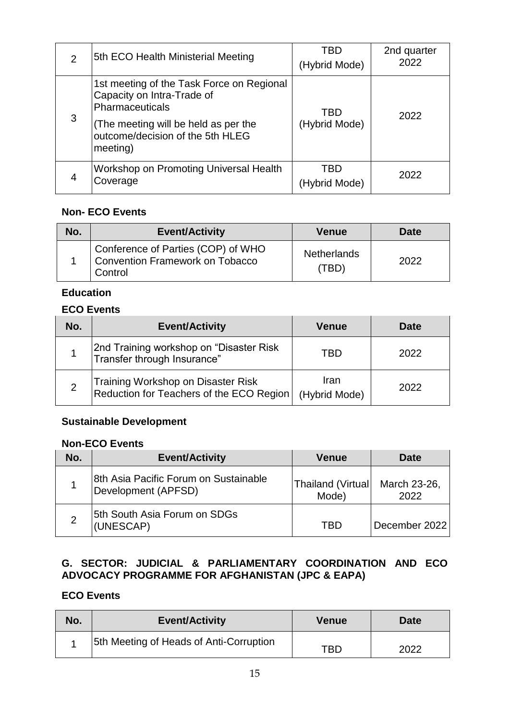| $\overline{2}$ | 5th ECO Health Ministerial Meeting                                                                                                                                                 | TBD<br>(Hybrid Mode) | 2nd quarter<br>2022 |
|----------------|------------------------------------------------------------------------------------------------------------------------------------------------------------------------------------|----------------------|---------------------|
| 3              | 1st meeting of the Task Force on Regional<br>Capacity on Intra-Trade of<br>Pharmaceuticals<br>(The meeting will be held as per the<br>outcome/decision of the 5th HLEG<br>meeting) | TBD<br>(Hybrid Mode) | 2022                |
|                | Workshop on Promoting Universal Health<br>Coverage                                                                                                                                 | TBD<br>/brid Mode)   | 2022                |

| No. | <b>Event/Activity</b>                                                            | Venue                       | <b>Date</b> |
|-----|----------------------------------------------------------------------------------|-----------------------------|-------------|
|     | Conference of Parties (COP) of WHO<br>Convention Framework on Tobacco<br>Control | <b>Netherlands</b><br>(TBD) | 2022        |

#### **Education**

#### **ECO Events**

| No.            | <b>Event/Activity</b>                                                          | <b>Venue</b>          | <b>Date</b> |
|----------------|--------------------------------------------------------------------------------|-----------------------|-------------|
|                | 2nd Training workshop on "Disaster Risk<br> Transfer through Insurance"        | TBD                   | 2022        |
| $\overline{2}$ | Training Workshop on Disaster Risk<br>Reduction for Teachers of the ECO Region | Iran<br>(Hybrid Mode) | 2022        |

#### **Sustainable Development**

#### **Non-ECO Events**

| No. | <b>Event/Activity</b>                                        | Venue                       | <b>Date</b>          |
|-----|--------------------------------------------------------------|-----------------------------|----------------------|
|     | 8th Asia Pacific Forum on Sustainable<br>Development (APFSD) | Thailand (Virtual)<br>Mode) | March 23-26,<br>2022 |
|     | 5th South Asia Forum on SDGs<br>(UNESCAP)                    | TBD                         | December 2022        |

#### **G. SECTOR: JUDICIAL & PARLIAMENTARY COORDINATION AND ECO ADVOCACY PROGRAMME FOR AFGHANISTAN (JPC & EAPA)**

| No. | <b>Event/Activity</b>                   | <b>Venue</b> | <b>Date</b> |
|-----|-----------------------------------------|--------------|-------------|
|     | 5th Meeting of Heads of Anti-Corruption | TBD          | 2022        |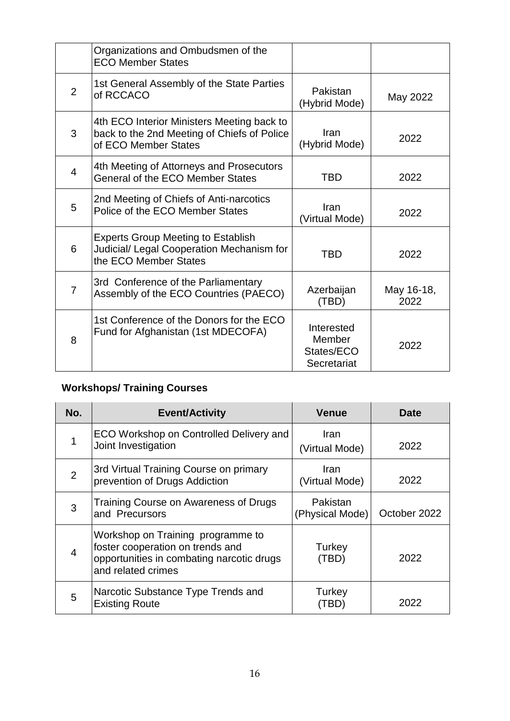|                | Organizations and Ombudsmen of the<br><b>ECO Member States</b>                                                    |                                                   |                    |
|----------------|-------------------------------------------------------------------------------------------------------------------|---------------------------------------------------|--------------------|
| 2              | 1st General Assembly of the State Parties<br>of RCCACO                                                            | Pakistan<br>(Hybrid Mode)                         | May 2022           |
| 3              | 4th ECO Interior Ministers Meeting back to<br>back to the 2nd Meeting of Chiefs of Police<br>of ECO Member States | Iran<br>(Hybrid Mode)                             | 2022               |
| $\overline{4}$ | 4th Meeting of Attorneys and Prosecutors<br>General of the ECO Member States                                      | TBD                                               | 2022               |
| 5              | 2nd Meeting of Chiefs of Anti-narcotics<br>Police of the ECO Member States                                        | Iran<br>(Virtual Mode)                            | 2022               |
| 6              | <b>Experts Group Meeting to Establish</b><br>Judicial/ Legal Cooperation Mechanism for<br>the ECO Member States   | <b>TBD</b>                                        | 2022               |
| $\overline{7}$ | 3rd Conference of the Parliamentary<br>Assembly of the ECO Countries (PAECO)                                      | Azerbaijan<br>(TBD)                               | May 16-18,<br>2022 |
| 8              | 1st Conference of the Donors for the ECO<br>Fund for Afghanistan (1st MDECOFA)                                    | Interested<br>Member<br>States/ECO<br>Secretariat | 2022               |

## **Workshops/ Training Courses**

| No.            | <b>Event/Activity</b>                                                                                                                    | <b>Venue</b>                  | <b>Date</b>  |
|----------------|------------------------------------------------------------------------------------------------------------------------------------------|-------------------------------|--------------|
| 1              | ECO Workshop on Controlled Delivery and<br>Joint Investigation                                                                           | <b>Iran</b><br>(Virtual Mode) | 2022         |
| $\overline{2}$ | 3rd Virtual Training Course on primary<br>prevention of Drugs Addiction                                                                  | <b>Iran</b><br>(Virtual Mode) | 2022         |
| 3              | Training Course on Awareness of Drugs<br>and Precursors                                                                                  | Pakistan<br>(Physical Mode)   | October 2022 |
| $\overline{4}$ | Workshop on Training programme to<br>foster cooperation on trends and<br>opportunities in combating narcotic drugs<br>and related crimes | Turkey<br>(TBD)               | 2022         |
| 5              | Narcotic Substance Type Trends and<br><b>Existing Route</b>                                                                              | Turkey<br>[BD                 | 2022         |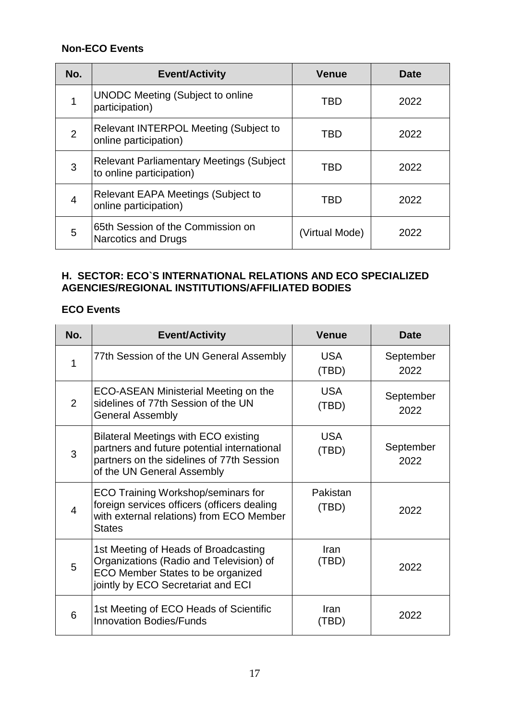| No.            | <b>Event/Activity</b>                                                         | <b>Venue</b>   | Date |
|----------------|-------------------------------------------------------------------------------|----------------|------|
|                | <b>UNODC</b> Meeting (Subject to online<br>participation)                     | TBD            | 2022 |
| $\overline{2}$ | <b>Relevant INTERPOL Meeting (Subject to</b><br>online participation)         | TBD            | 2022 |
| 3              | <b>Relevant Parliamentary Meetings (Subject</b> )<br>to online participation) | TBD            | 2022 |
| $\overline{4}$ | <b>Relevant EAPA Meetings (Subject to</b><br>online participation)            | TBD            | 2022 |
| 5              | 65th Session of the Commission on<br><b>Narcotics and Drugs</b>               | (Virtual Mode) | 2022 |

#### **H. SECTOR: ECO`S INTERNATIONAL RELATIONS AND ECO SPECIALIZED AGENCIES/REGIONAL INSTITUTIONS/AFFILIATED BODIES**

| No.            | <b>Event/Activity</b>                                                                                                                                                 | <b>Venue</b>        | Date              |
|----------------|-----------------------------------------------------------------------------------------------------------------------------------------------------------------------|---------------------|-------------------|
| 1              | 77th Session of the UN General Assembly                                                                                                                               | <b>USA</b><br>(TBD) | September<br>2022 |
| 2              | ECO-ASEAN Ministerial Meeting on the<br>sidelines of 77th Session of the UN<br><b>General Assembly</b>                                                                | <b>USA</b><br>(TBD) | September<br>2022 |
| 3              | <b>Bilateral Meetings with ECO existing</b><br>partners and future potential international<br>partners on the sidelines of 77th Session<br>of the UN General Assembly | <b>USA</b><br>(TBD) | September<br>2022 |
| $\overline{4}$ | <b>ECO Training Workshop/seminars for</b><br>foreign services officers (officers dealing<br>with external relations) from ECO Member<br><b>States</b>                 | Pakistan<br>(TBD)   | 2022              |
| 5              | 1st Meeting of Heads of Broadcasting<br>Organizations (Radio and Television) of<br>ECO Member States to be organized<br>jointly by ECO Secretariat and ECI            | Iran<br>(TBD)       | 2022              |
| 6              | 1st Meeting of ECO Heads of Scientific<br><b>Innovation Bodies/Funds</b>                                                                                              | Iran<br>(TBD)       | 2022              |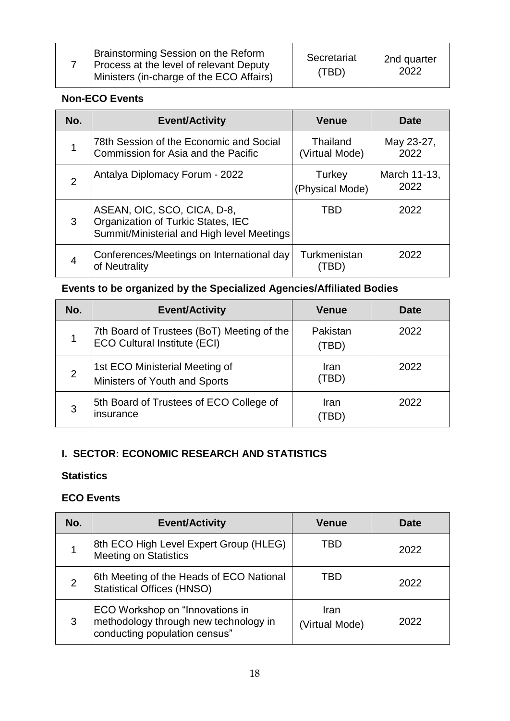|  | Brainstorming Session on the Reform<br><b>Process at the level of relevant Deputy</b><br>Ministers (in-charge of the ECO Affairs) | Secretariat<br>(TBD) | 2nd quarter<br>2022 |
|--|-----------------------------------------------------------------------------------------------------------------------------------|----------------------|---------------------|
|--|-----------------------------------------------------------------------------------------------------------------------------------|----------------------|---------------------|

| No.            | <b>Event/Activity</b>                                                                                           | <b>Venue</b>               | <b>Date</b>          |
|----------------|-----------------------------------------------------------------------------------------------------------------|----------------------------|----------------------|
|                | 78th Session of the Economic and Social<br>Commission for Asia and the Pacific                                  | Thailand<br>(Virtual Mode) | May 23-27,<br>2022   |
| $\overline{2}$ | Antalya Diplomacy Forum - 2022                                                                                  | Turkey<br>(Physical Mode)  | March 11-13,<br>2022 |
| 3              | ASEAN, OIC, SCO, CICA, D-8,<br>Organization of Turkic States, IEC<br>Summit/Ministerial and High level Meetings | TBD                        | 2022                 |
| 4              | Conferences/Meetings on International day<br>of Neutrality                                                      | Turkmenistan               | 2022                 |

## **Events to be organized by the Specialized Agencies/Affiliated Bodies**

| No.            | <b>Event/Activity</b>                                                             | <b>Venue</b>      | <b>Date</b> |
|----------------|-----------------------------------------------------------------------------------|-------------------|-------------|
|                | 7th Board of Trustees (BoT) Meeting of the<br><b>ECO Cultural Institute (ECI)</b> | Pakistan<br>(TBD) | 2022        |
| $\overline{2}$ | 1st ECO Ministerial Meeting of<br>Ministers of Youth and Sports                   | Iran<br>(TBD)     | 2022        |
| 3              | 5th Board of Trustees of ECO College of<br>insurance                              | Iran<br>$\pm$ BD) | 2022        |

#### **I. SECTOR: ECONOMIC RESEARCH AND STATISTICS**

#### **Statistics**

| No.            | <b>Event/Activity</b>                                                                                            | <b>Venue</b>           | Date |
|----------------|------------------------------------------------------------------------------------------------------------------|------------------------|------|
|                | 8th ECO High Level Expert Group (HLEG)<br><b>Meeting on Statistics</b>                                           | TBD                    | 2022 |
| $\overline{2}$ | 6th Meeting of the Heads of ECO National<br><b>Statistical Offices (HNSO)</b>                                    | TBD                    | 2022 |
| 3              | <b>ECO Workshop on "Innovations in</b><br>methodology through new technology in<br>conducting population census" | Iran<br>(Virtual Mode) | 2022 |